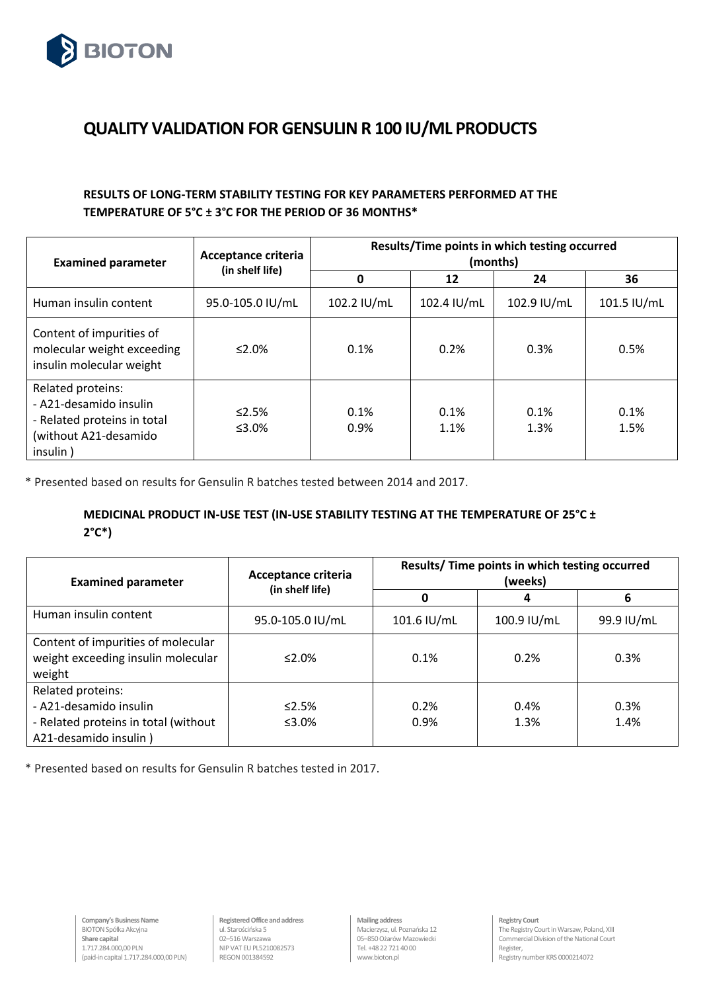

## **QUALITY VALIDATION FOR GENSULIN R 100 IU/ML PRODUCTS**

## **RESULTS OF LONG-TERM STABILITY TESTING FOR KEY PARAMETERS PERFORMED AT THE TEMPERATURE OF 5°C ± 3°C FOR THE PERIOD OF 36 MONTHS\***

| <b>Examined parameter</b>                                                                                       | <b>Acceptance criteria</b><br>(in shelf life) | Results/Time points in which testing occurred<br>(months) |              |              |              |
|-----------------------------------------------------------------------------------------------------------------|-----------------------------------------------|-----------------------------------------------------------|--------------|--------------|--------------|
|                                                                                                                 |                                               | 0                                                         | 12           | 24           | 36           |
| Human insulin content                                                                                           | 95.0-105.0 IU/mL                              | 102.2 IU/mL                                               | 102.4 IU/mL  | 102.9 IU/mL  | 101.5 IU/mL  |
| Content of impurities of<br>molecular weight exceeding<br>insulin molecular weight                              | ≤2.0%                                         | 0.1%                                                      | 0.2%         | 0.3%         | 0.5%         |
| Related proteins:<br>- A21-desamido insulin<br>- Related proteins in total<br>(without A21-desamido<br>insulin) | $\leq 2.5\%$<br>≤3.0%                         | 0.1%<br>0.9%                                              | 0.1%<br>1.1% | 0.1%<br>1.3% | 0.1%<br>1.5% |

\* Presented based on results for Gensulin R batches tested between 2014 and 2017.

## **MEDICINAL PRODUCT IN-USE TEST (IN-USE STABILITY TESTING AT THE TEMPERATURE OF 25°C ± 2°C\*)**

| <b>Examined parameter</b>                                                                                    | Acceptance criteria<br>(in shelf life) | Results/ Time points in which testing occurred<br>(weeks) |              |              |
|--------------------------------------------------------------------------------------------------------------|----------------------------------------|-----------------------------------------------------------|--------------|--------------|
|                                                                                                              |                                        | Ω                                                         | 4            | 6            |
| Human insulin content                                                                                        | 95.0-105.0 IU/mL                       | 101.6 IU/mL                                               | 100.9 IU/mL  | 99.9 IU/mL   |
| Content of impurities of molecular<br>weight exceeding insulin molecular<br>weight                           | $2.0\%$                                | 0.1%                                                      | 0.2%         | 0.3%         |
| Related proteins:<br>- A21-desamido insulin<br>- Related proteins in total (without<br>A21-desamido insulin) | $\leq$ 2.5%<br>≤3.0%                   | 0.2%<br>0.9%                                              | 0.4%<br>1.3% | 0.3%<br>1.4% |

\* Presented based on results for Gensulin R batches tested in 2017.

**Registered Office and address** ul. Starościńska 5 02–516 Warszawa NIP VAT EU PL5210082573 REGON 001384592

**Mailing address** Macierzysz, ul. Poznańska 12 05–850 Ożarów Mazowiecki Tel. +4822 721 40 00 www.bioton.pl

**Registry Court**  The Registry Court in Warsaw, Poland, XIII Commercial Division of the National Court Register, Registry number KRS 0000214072